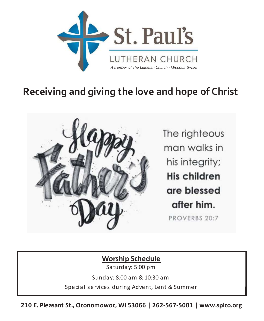

# **Receiving and giving the love and hope of Christ**



The righteous man walks in his integrity; His children are blessed after him. PROVERBS 20:7

# **Worship Schedule**

Sa turday: 5:00 pm

Sunday: 8:00 am & 10:30 am

Special services during Advent, Lent & Summer

**210 E. Pleasant St., Oconomowoc, WI 53066 | 262-567-5001 | www.splco.org**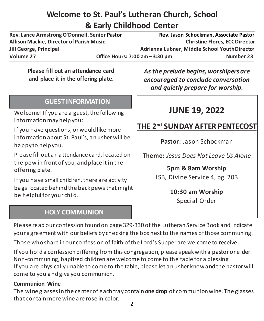# **Welcome to St. Paul's Lutheran Church, School & Early Childhood Center**

**Rev. Lance Armstrong O'Donnell, Senior Pastor Rev. Jason Schockman, Associate Pastor Allison Mackie, Director of Parish Music ŚƌŝƐƟŶĞ&ůŽƌĞƐ͕Director Jill George, Principal Adrianna Lubner, Middle School YouthDirector** Volume 27 **Office Hours: 7:00 am – 3:30 pm** Number 23

**Please fill out an attendance card and place it in the offering plate.**

#### **GUEST INFORMATION**

Welcome! If you are a guest, the following information may help you:

If you have questions, or would like more information about St. Paul's, an usher will be happy to help you.

Please fill out an a ttendance ca rd, located on the pew in front of you, and place it in the offering plate.

If you have small children, there are activity bags located behind the back pews that might be helpful for your child.

### **HOLY COMMUNION**

*As the prelude begins, worshipers are encouraged to conclude conversation and quietly prepare for worship.*

# **JUNE 19, 2022**

# **THE 2nd SUNDAY AFTER PENTECOST**

**Pastor:** Jason Schockman

**Theme:** *Jesus Does Not Leave Us Alone*

**5pm & 8am Worship** LSB, Divine Service 4, pg. 203

> **10:30 am Worship** Special Order

Please read our confession found on page 329-330 of the Lutheran Service Book and indicate your agreement with our beliefs by checking the box next to the names of those communing.

Those who share in our confession of faith of the Lord's Supper are welcome to receive.

If you hold a confession differing from this congregation, please s peak with a pastor or elder. Non-communing, baptized children a re welcome to come to the table for a blessing. If you are physically unable to come to the table, please let an usher know and the pastor will come to you and give you communion.

#### **Communion Wine**

The wine glassesin the center of each tray contain **one drop** of communion wine. The glasses tha t contain more wine a re rose in color.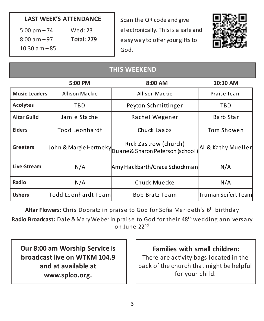#### **LAST WEEK'S ATTENDANCE**

| $5:00 \text{ pm} - 74$ | Wed:23            |
|------------------------|-------------------|
| $8:00$ a m $-97$       | <b>Total: 279</b> |
| $10:30$ am $-85$       |                   |

Scan the QR code and give electronically. This is a safe and ea sy way to offer your gifts to God.



#### **THIS WEEKEND**

|                      | 5:00 PM             | 8:00 AM                                                                             | 10:30 AM                   |
|----------------------|---------------------|-------------------------------------------------------------------------------------|----------------------------|
| <b>Music Leaders</b> | Allison Mackie      | <b>Allison Mackie</b>                                                               | Praise Team                |
| <b>Acolytes</b>      | TBD                 | Peyton Schmittinger                                                                 | TBD                        |
| <b>Altar Guild</b>   | Jamie Stache        | Rachel Wegener                                                                      | Barb Star                  |
| <b>Elders</b>        | Todd Leonhardt      | Chuck Laabs                                                                         | Tom Showen                 |
| <b>Greeters</b>      |                     | Rick Zastrow (church)<br>John & Margie Hertneky<br>Duane & Sharon Peterson (school) | Al & Kathy Mueller         |
| Live-Stream          | N/A                 | Amy Hackbarth/Grace Schockman                                                       | N/A                        |
| Radio                | N/A                 | Chuck Muecke                                                                        | N/A                        |
| <b>Ushers</b>        | Todd Leonhardt Team | Bob Bratz Team                                                                      | <b>Truman Seifert Team</b> |

Altar Flowers: Chris Dobratz in praise to God for Sofia Merideth's 6<sup>th</sup> birthday Radio Broadcast: Dale & Mary Weber in praise to God for their 48<sup>th</sup> wedding anniversary

on June 22nd

**Our 8:00 am Worship Service is broadcast live on WTKM 104.9 and at available at www.splco.org.**

**Families with small children:** There are activity bags located in the back of the church that might be helpful for your child.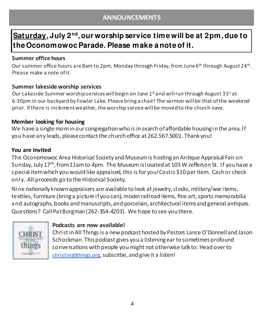#### **ANNOUNCEMENTS**

# **Saturday, July 2nd ,our worship service time will be at 2pm, due to the Oconomowoc Parade. Please make a note of it.**

#### **Summer office hours**

Our summer office hours are 8am to 2pm, Monday through Friday, from June 6<sup>th</sup> through August 24<sup>th</sup>. Please make a note of it.

#### **Summer lakeside worship services**

Our Lakeside Summer worship services will begin on June  $1<sup>st</sup>$  and will run through August 31<sup>st</sup> at 6:30pm in our backyard by Fowler Lake. Please bring a chair! The sermon will be that of the weekend prior. If there is inclement weather, the worship service will be moved to the church nave.

#### **Member looking for housing**

We have a single mom in our congregation who is in search of affordable housing in the area. If you have any leads, please contact the church office at 262.567.5001. Thank you!

#### **You are Invited**

The Oconomowoc Area Historical Society and Museum is hosting an Antique Appraisal Fair on Sunday, July 17<sup>th</sup>, from 11am to 4pm. The Museum is located at 103 W Jefferson St. If you have a s pecial itemwhich you would like appraised, this is for you!Costis \$10 per item. Cash or check only. All proceeds go to the Historical Society.

Nine nationally known appraisers are available to look at jewelry, clocks, military/war items, textiles, furniture (bring a picture if you can), model railroad items, fine art, sports memorabilia and autographs, books and manuscripts, and porcelain, architectural items and general antiques. Questions? Call Pat Borgman (262-354-4203). We hope to see you there.



#### **Podcasts are now available!**

Chri st in All Things is a new podcast hosted by Pastors Lance O'Donnelland Jason Schockman. This podcast gives you a listening ear to sometimes profound conversations with people you might not otherwise talk to. Head over to christinallthings.org, subscribe, and give it a listen!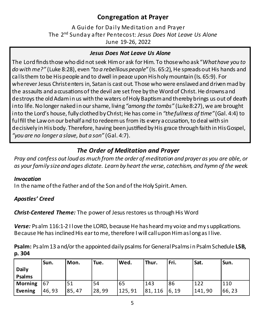### **Congregation at Prayer**

A Guide for Daily Meditation and Prayer The 2nd Sunday a fter Pentecos t: *Jesus Does Not Leave Us Alone* June 19-26, 2022

#### *Jesus Does Not Leave Us Alone*

The Lord finds those who did not seek Him or ask for Him. To those who ask "*Whathave you to do with me?"* (Luke 8:28), even *"to a rebellious people"* (Is. 65:2), He spreads out His hands and calls them to be His people and to dwell in peace upon His holymountain (Is. 65:9). For wherever Jesus Christenters in, Satan is cast out. Those whowere enslaved and driven mad by the assaults and a ccusations of the devil are set free by the Word of Christ. He drowns and destroys the old Adam in us with the waters of Holy Baptism and thereby brings us out of death into life. No longer naked in our shame, living*"among the tombs"* (Luke8:27), we are brought into the Lord's house, fully clothed by Christ; He has come in "*the fullness of time"* (Gal. 4:4) to ful fill the Law on our behalf and to redeem us from its every a ccusation, to deal with sin de cisively in Hisbody. Therefore, having been justified by His grace through faith in His Gospel, *"you are no longer a slave, but a son"* (Gal. 4:7).

#### *The Order of Meditation and Prayer*

*Pray and confess out loud as much from the order of meditation and prayer as you are able, or as your family size and ages dictate. Learn by heart the verse, catechism, and hymn of the week.*

#### *Invocation*

In the name of the Father and of the Son and of the Holy Spirit.Amen.

#### *Apostles' Creed*

*Christ-Centered Theme:* The power of Jesus restores us through His Word

*Verse:* Psalm 116:1-2 I love the LORD, because He has heard my voice and my supplications. Because He has inclined His ear to me, therefore I will callupon Himaslongas I live.

**Psalm:** Psalm 13 and/or the appointed daily psalms for General Psalmsin Psalm Schedule **LSB, p. 304**

|              | lSun. | Mon.  | 'Tue. | Wed.   | <b>Thur.</b>    | Fri. | Sat.   | Sun.  |
|--------------|-------|-------|-------|--------|-----------------|------|--------|-------|
| <b>Daily</b> |       |       |       |        |                 |      |        |       |
| Psalms       |       |       |       |        |                 |      |        |       |
| Morning 67   |       | 51    | 54    | 65     | 143             | 86   | 122    | 110   |
| Evening      | 46,93 | 85,47 | 28,99 | 125,91 | $81, 116$ 6, 19 |      | 141,90 | 66,23 |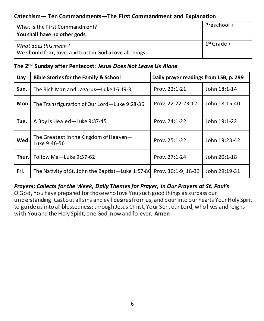#### **Catechism— Ten Commandments—The First Commandment and Explanation**

| What is the First Commandment?<br>You shall have no other gods.                  | Preschool +   |
|----------------------------------------------------------------------------------|---------------|
| What does this mean?<br>We should fear, love, and trust in God above all things. | $1st$ Grade + |

#### **The 2nd Sunday after Pentecost:** *Jesus Does Not Leave Us Alone*

| Day  | <b>Bible Stories for the Family &amp; School</b>       | Daily prayer readings from LSB, p. 299 |               |  |
|------|--------------------------------------------------------|----------------------------------------|---------------|--|
| Sun. | The Rich Man and Lazarus-Luke 16:19-31                 | Prov. 22:1-21                          | John 18:1-14  |  |
| Mon. | The Transfiguration of Our Lord-Luke 9:28-36           | Prov. 22:22-23:12                      | John 18:15-40 |  |
| Tue. | A Boy Is Healed-Luke 9:37-45                           | Prov. 24:1-22                          | John 19:1-22  |  |
| Wed. | The Greatest in the Kingdom of Heaven-<br>Luke 9:46-56 | Prov. 25:1-22                          | John 19:23-42 |  |
|      | <b>Thur.</b> Follow Me-Luke 9:57-62                    | Prov. 27:1-24                          | John 20:1-18  |  |
| Fri. | The Nativity of St. John the Baptist-Luke 1:57-80      | Prov. 30:1-9, 18-33                    | John 29:19-31 |  |

#### *Prayers: Collects for the Week, Daily Themes for Prayer, In Our Prayers at St. Paul's*

O God, You have prepared for thosewho love You such good things as surpass our understanding. Castout all sins and evil desires from us, and pour into our hearts Your Holy Spirit to guideus into all blessedness; through Jesus Christ,Your Son, our Lord, who lives and reigns wi th You and the Holy Spirit, one God, nowand forever. **Amen**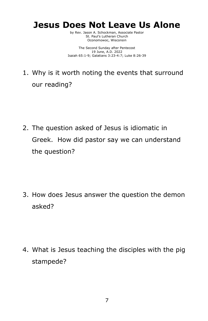# Jesus Does Not Leave Us Alone

by Rev. Jason A. Schockman, Associate Pastor St. Paul's Lutheran Church Oconomowoc, Wisconsin

The Second Sunday after Pentecost 19 June, A.D. 2022 Isaiah 65:1-9; Galatians 3:23-4:7; Luke 8:26-39

1. Why is it worth noting the events that surround our reading?

2. The question asked of Jesus is idiomatic in Greek. How did pastor say we can understand the question?

3. How does Jesus answer the question the demon asked?

4. What is Jesus teaching the disciples with the pig stampede?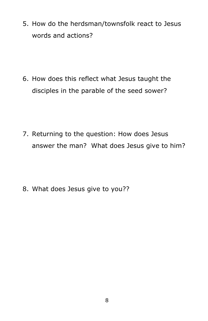5. How do the herdsman/townsfolk react to Jesus words and actions?

6. How does this reflect what Jesus taught the disciples in the parable of the seed sower?

7. Returning to the question: How does Jesus answer the man? What does Jesus give to him?

8. What does Jesus give to you??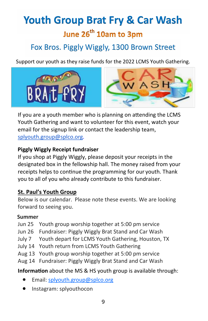# Youth Group Brat Fry & Car Wash

# June 26<sup>th</sup> 10am to 3pm

# Fox Bros. Piggly Wiggly, 1300 Brown Street

Support our youth as they raise funds for the 2022 LCMS Youth Gathering.





If you are a youth member who is planning on attending the LCMS Youth Gathering and want to volunteer for this event, watch your email for the signup link or contact the leadership team, splyouth.group@splco.org.

#### Piggly Wiggly Receipt fundraiser

If you shop at Piggly Wiggly, please deposit your receipts in the designated box in the fellowship hall. The money raised from your receipts helps to continue the programming for our youth. Thank you to all of you who already contribute to this fundraiser.

#### St. Paul's Youth Group

Below is our calendar. Please note these events. We are looking forward to seeing you.

#### Summer

- Jun 25 Youth group worship together at 5:00 pm service
- Jun 26 Fundraiser: Piggly Wiggly Brat Stand and Car Wash
- July 7 Youth depart for LCMS Youth Gathering, Houston, TX
- July 14 Youth return from LCMS Youth Gathering
- Aug 13 Youth group worship together at 5:00 pm service
- Aug 14 Fundraiser: Piggly Wiggly Brat Stand and Car Wash

Information about the MS & HS youth group is available through:

- **Email: splyouth.group@splco.org**
- Instagram: splyouthocon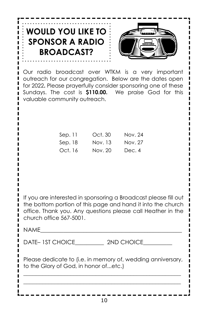| $\frac{1}{2}$ WOULD YOU LIKE TO $\frac{1}{2}$ |  |
|-----------------------------------------------|--|
| $\frac{1}{2}$ SPONSOR A RADIO                 |  |
| <b>BROADCAST?</b>                             |  |



Our radio broadcast over WTKM is a very important outreach for our congregation. Below are the dates open for 2022. Please prayerfully consider sponsoring one of these Sundays. The cost is \$110.00. We praise God for this valuable community outreach.

| Sep.11  | Oct. 30 | Nov. 24 |
|---------|---------|---------|
| Sep. 18 | Nov. 13 | Nov. 27 |
| Oct. 16 | Nov. 20 | Dec. 4  |

If you are interested in sponsoring a Broadcast please fill out the bottom portion of this page and hand it into the church office. Thank you. Any questions please call Heather in the church office 567-5001.

NAME\_\_\_\_\_\_\_\_\_\_\_\_\_\_\_\_\_\_\_\_\_\_\_\_\_\_\_\_\_\_\_\_\_\_\_\_\_\_\_\_\_\_\_\_\_\_\_\_\_

DATE– 1ST CHOICE 2ND CHOICE

Please dedicate to (i.e. in memory of, wedding anniversary, to the Glory of God, in honor of...etc.) BBBBBBBBBBBBBBBBBBBBBBBBBBBBBBBBBBBBBBBBBBBBBBBBBB

BBBBBBBBBBBBBBBBBBBBBBBBBBBBBBBBBBBBBBBBBBBBBBBBBB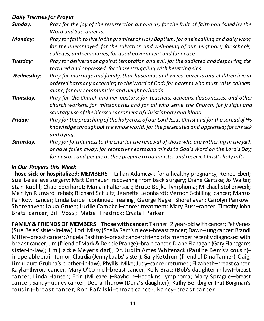#### *Daily Themes for Prayer*

| Sunday:    | Pray for the joy of the resurrection among us; for the fruit of faith nourished by the<br>Word and Sacraments.                                                                                                                                                             |
|------------|----------------------------------------------------------------------------------------------------------------------------------------------------------------------------------------------------------------------------------------------------------------------------|
| Monday:    | Pray for faith to live in the promises of Holy Baptism; for one's calling and daily work;<br>for the unemployed; for the salvation and well-being of our neighbors; for schools,<br>colleges, and seminaries; for good government and for peace.                           |
| Tuesday:   | Pray for deliverance against temptation and evil; for the addicted and despairing, the<br>tortured and oppressed; for those struggling with besetting sins.                                                                                                                |
| Wednesday: | Pray for marriage and family, that husbands and wives, parents and children live in<br>ordered harmony according to the Word of God; for parents who must raise children<br>alone; for our communities and neighborhoods.                                                  |
| Thursday:  | Pray for the Church and her pastors; for teachers, deacons, deaconesses, and other<br>church workers; for missionaries and for all who serve the Church; for fruitful and<br>salutary use of the blessed sacrament of Christ's body and blood.                             |
| Friday:    | Pray for the preaching of the holy cross of our Lord Jesus Christ and for the spread of His<br>knowledge throughout the whole world; for the persecuted and oppressed; for the sick<br>and dying.                                                                          |
| Saturday:  | Pray for faithfulness to the end; for the renewal of those who are withering in the faith<br>or have fallen away; for receptive hearts and minds to God's Word on the Lord's Day;<br>for pastors and people as they prepare to administer and receive Christ's holy gifts. |

#### *In Our Prayers this Week*

**Those sick or hospitalized: MEMBERS** – Lillian Adamczyk for a healthy pregnancy; Renee Ebert; Sue Beles-eye surgery; Matt Dinnauer-recovering from back s urgery; Diane Gartzke; Jo Walter; Stan Kuehl; Chad Eberhardt; Ma rian Faltersack; Bruce Bojko–lymphoma; Michael Stollenwerk; Ma rilyn Runyard-rehab; Richard Schultz; Jeanette Leonhardt; Vernon Schilling-cancer; Marcus Pankow–cancer; Linda Leidel–continued healing; George Nagel–Shorehaven; Ca rolyn Pankow– Shorehaven; Laura Gruen; Lucille Campbell–cancer treatment; Mary Buss–cancer; Timothy John Bra tz–cancer; Bill Vos s; Mabel Fredrick; Crys tal Pa rker

**FAMILY & FRIENDSOF MEMBERS**– **Those with cancer:** Tanner–2 year-old with cancer; PatVenes (Sue Beles' sister-in-law); Lori; Missy (Sheila Ram's niece)–breast cancer; Dawn–lung cancer; Brandi Miller–breast cancer; Angela Bashford–breastcancer; friend ofa member recently diagnosed with breast cancer; Jim (friend of Mark & Debbie Prange)-brain cancer; Diane Flanagan (Gary Flanagan's sister-in-law); Jim (Jackie Meyer's dad); Dr. Judith Ames Whitenack (Pauline Bemis's cousin)– inoperablebrain tumor; Claudia (Jenny Laabs' sister); Gary Ke tchum (friend of DinaTanner); Craig; Jim (Laura Grubba's brother-in-law); Phyllis; Mike; Judy–cancer returned; Elizabeth–breast cancer; Kayla–thyroid cancer; Mary O'Connell–breast cancer; Kelly Bratz (Bob's daughter-in-law)–breast cancer; Linda Hansen; Erin (Mileager)–Rayborn–Hodgkins Lymphoma; Ma ry Sprague—breast cancer; Sandy–kidney cancer; Debra Thurow (Dona's daughter); Kathy Berkbigler (Pat Borgman's cousin)–breast cancer; Ron Rafalski–throat cancer; Nancy–breast cancer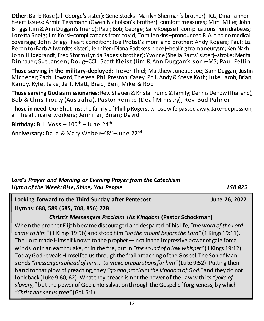**Other**: Ba rb Rose (Jill George's sister); Gene Stocks–Marilyn Sherman's brother)–ICU; Dina Tanner– heart issues; Armin Tessmann (Gwen Nicholson's brother)–comfort measures; Mimi Miller; John Briggs (Jim & Ann Duggan's friend); Paul; Bob; George; Sally Koepsell-complications from diabetes; Lore tta Sneig; Jim Korsi-complications from covid; Tom Jenkins-pronounced R.A. and no medical coverage: John Briggs-heart condition: Joe Probst's mom and brother: Andy Rogers: Paul: Liz Peronto (Barb Allwardt's sister); Jennifer (Diana Radtke's niece)–healing fromaneurysm; Ken Nash; John Hildebrandt; Fred Storm (Lynda Rades's brother); Yvonne (Sheila Rams' sister)–stroke; Merita Dinnauer; Sue Jansen; Doug-CCL; Scott Kleist (Jim & Ann Duggan's son)-MS; Paul Fellin

**Those serving in the military-deployed:** Trevor Thiel: Matthew Juneau: Joe: Sam Duggan: Justin Michener; Zach Howard,Theresa; Phil Preston; Casey, Phil, Andy& Steve Koth; Luke, Jacob, Brian, Randy, Kyle, Jake, Jeff, Matt, Brad, Ben, Mike & Rob

**Those serving God as missionaries:** Rev. Shauen & Krista Trump & family; Dennis Denow (Thailand), Bob & Chris Prouty (Australia), Pastor Reinke (Deaf Ministry), Rev. Bud Palmer

**Those in need:**Our Shut-Ins; the family of Phillip Rogers, whosewife passed away; Jake–depression; all healthcare workers; Jennifer; Brian; David

**Birthday:** Bill Voss  $-100^{th}$  – June 24<sup>th</sup>

**Anniversary:** Dale & Ma ry Weber–48th–June 22nd

#### *Lord's Prayer and Morning or Evening Prayer from the Catechism Hymn of the Week: Rise, Shine, You People LSB 825*

**Z** Looking forward to the Third Sunday after Pentecost **1988** *Dune 26, 2022* **Hymns: 688, 589 (685, 708, 856) 728**

#### *Christ's Messengers Proclaim His Kingdom* **(Pastor Schockman)**

When the prophet Elijah became discouraged and despaired of hislife,*"the word of the Lord came to him"* (1 Kings 19:9b)and stood him*"on the mount before the Lord"* (1 Kings 19:11). The Lord made Himself known to the prophet — not in the impressive power of gale force winds, or in an earthquake, or in the fire, but in *"the sound of a low whisper"* (1 Kings 19:12). Today God reveals Himself to us through the frail preaching of the Gospel. The Son of Man sends "messengers ahead of him ... to make preparations for him" (Luke 9:52). Putting their hand to that plow of preaching,they *"go and proclaim the kingdom of God,"*and they do not look back (Luke 9:60, 62). What they preach is not the power of the Lawwith i ts *"yoke of* slavery," but the power of God unto salvation through the Gospel of forgiveness, by which *"Christ has set us free"* (Gal. 5:1).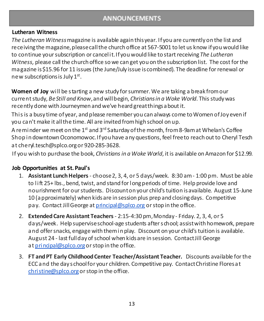#### **ANNOUNCEMENTS**

#### **Lutheran Witness**

*The Lutheran Witness*magazine is available again thisyear. I fyou are currently on the list and receiving the magazine,pleasecall the church office at 567-5001 to let us know ifyou would like to continue your subscription or canceli t.I fyou would like to start receiving*The Lutheran Witness,* please call the church office so we can get you on the subscription list. The cost for the magazine is \$15.96 for 11 issues (the June/July issue is combined). The deadline for renewal or new subscriptions is July 1st.

**Women of Joy** will be s tarting a new study for summer. We are taking a break from our current study, *BeStill and Know*,and willbegin, *Christiansin a Woke World*. This study was recently done with Journeymen and we've heard greatthingsabout it.

This is a busy time of year, and please remember you can always come to Women of Joy even if you can't make it all the time. All are invited from high school on up.

A reminder we meet on the 1<sup>st</sup> and 3<sup>rd</sup> Saturday of the month, from 8-9am at Whelan's Coffee Shop in downtown Oconomowoc.I fyou have any questions, feel free to reach out to Cheryl Tesch a t cheryl.tesch@splco.org or 920-285-3628.

If you wish to purchase the book, *Christians in a Woke World*, it is available on Amazon for \$12.99.

#### **Job Opportunities at St. Paul's**

- 1. **Assistant Lunch Helpers** choose2, 3, 4, or 5 days/week. 8:30 am 1:00 pm. Must be able to li ft 25+ lbs., bend, twist, and stand for long periods of time. Help provide love and nourishment for our students. Discounton your child's tuition isavailable. August 15-June 10 (approximately) when kidsare in session plus prep and closing days. Competitive pay. Contact Jill George at principal@splco.org or stop in the office.
- 2. **Extended Care Assistant Teachers** 2:15-4:30 pm,Monday Friday. 2, 3, 4, or 5 days/week. Help superviseschool-age students after s chool; assistwith homework, prepare and offer snacks, engage with them in play. Discount on your child's tuition is available. August 24 - last fullday of school when kidsare in session. Contact Jill George at principal@splco.org or stop in the office.
- 3. **FT and PT Early Childhood Center Teacher/Assistant Teacher.** Discounts available for the ECC and the day s chool for your children. Competitive pay. ContactChristine Floresa t christine@splco.org or stop in the office.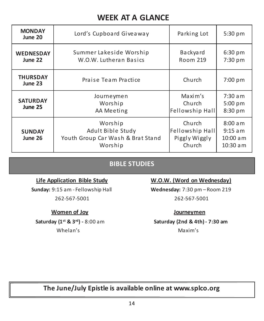# **WEEK AT A GLANCE**

| <b>MONDAY</b><br>June 20                                                                                 | Lord's Cupboard Giveaway                          | Parking Lot                                          | 5:30 pm                                           |
|----------------------------------------------------------------------------------------------------------|---------------------------------------------------|------------------------------------------------------|---------------------------------------------------|
| <b>WEDNESDAY</b><br>June 22                                                                              | Summer Lakeside Worship<br>W.O.W. Lutheran Basics | Backyard<br><b>Room 219</b>                          | 6:30 pm<br>7:30 pm                                |
| <b>THURSDAY</b><br>June 23                                                                               | Praise Team Practice                              | Church                                               | 7:00 pm                                           |
| Journeymen<br><b>SATURDAY</b><br>Worship<br>June 25<br>AA Meeting                                        |                                                   | Maxim's<br>Church<br>Fellowship Hall                 | $7:30$ am<br>5:00 pm<br>8:30 pm                   |
| Worship<br>Adult Bible Study<br><b>SUNDAY</b><br>Youth Group Car Wash & Brat Stand<br>June 26<br>Worship |                                                   | Church<br>Fellowship Hall<br>Piggly Wiggly<br>Church | 8:00 a m<br>$9:15$ am<br>$10:00$ am<br>$10:30$ am |

#### **BIBLE STUDIES**

**Sunday:** 9:15 am - Fellowship Hall **Wednesday:** 7:30 pm – Room 219

#### **Women of Joy Journeymen**

Whelan's Maxim's Maxim's

#### Life Application Bible Study W.O.W. (Word on Wednesday)

262-567-5001 262-567-5001

**Saturday (1st & 3rd) -** 8:00 am **Saturday (2nd & 4th) - 7:30 am**

**The June/July Epistle is available online at www.splco.org**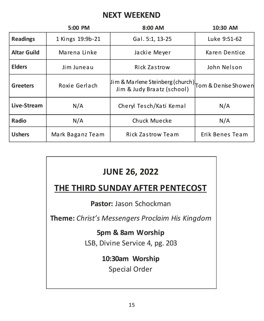## **NEXT WEEKEND**

|                    | 5:00 PM          | 8:00 AM                                                                            | 10:30 AM        |
|--------------------|------------------|------------------------------------------------------------------------------------|-----------------|
| <b>Readings</b>    | 1 Kings 19:9b-21 | Gal. 5:1, 13-25                                                                    | Luke 9:51-62    |
| <b>Altar Guild</b> | Marena Linke     | Jackie Meyer                                                                       | Karen Dentice   |
| <b>Elders</b>      | Jim Juneau       | <b>Rick Zastrow</b>                                                                | John Nelson     |
| <b>Greeters</b>    | Roxie Gerlach    | Jim & Marlene Steinberg (church) Tom & Denise Showen<br>Jim & Judy Braatz (school) |                 |
| Live-Stream        | N/A              | Cheryl Tesch/Kati Kemal                                                            | N/A             |
| Radio              | N/A              | Chuck Muecke                                                                       | N/A             |
| <b>Ushers</b>      | Mark Baganz Team | Rick Zastrow Team                                                                  | Erik Benes Team |

# **JUNE 26, 2022**

# **THE THIRD SUNDAY AFTER PENTECOST**

**Pastor:** Jason Schockman

**Theme:** *Christ's Messengers Proclaim His Kingdom*

### **5pm & 8am Worship**

LSB, Divine Service 4, pg. 203

# **10:30am Worship**

Special Order